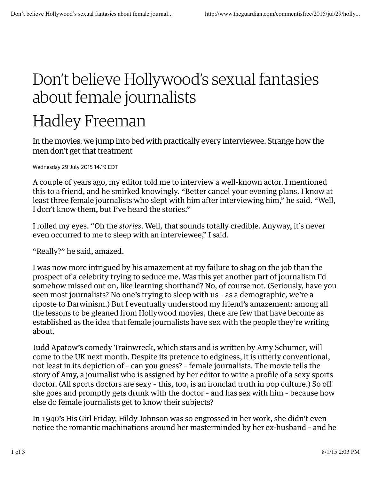## Don't believe Hollywood's sexual fantasies about female journalists

## Hadley Freeman

In the movies, we jump into bed with practically every interviewee. Strange how the men don't get that treatment

Wednesday 29 July 2015 14.19 EDT

A couple of years ago, my editor told me to interview a well-known actor. I mentioned this to a friend, and he smirked knowingly. "Better cancel your evening plans. I know at least three female journalists who slept with him after interviewing him," he said. "Well, I don't know them, but I've heard the stories."

I rolled my eyes. "Oh the *stories*. Well, that sounds totally credible. Anyway, it's never even occurred to me to sleep with an interviewee," I said.

"Really?" he said, amazed.

I was now more intrigued by his amazement at my failure to shag on the job than the prospect of a celebrity trying to seduce me. Was this yet another part of journalism I'd somehow missed out on, like learning shorthand? No, of course not. (Seriously, have you seen most journalists? No one's trying to sleep with us – as a demographic, we're a riposte to Darwinism.) But I eventually understood my friend's amazement: among all the lessons to be gleaned from Hollywood movies, there are few that have become as established as the idea that female journalists have sex with the people they're writing about.

Judd Apatow's comedy Trainwreck, which stars and is written by Amy Schumer, will come to the UK next month. Despite its pretence to edginess, it is utterly conventional, not least in its depiction of – can you guess? – female journalists. The movie tells the story of Amy, a journalist who is assigned by her editor to write a profile of a sexy sports doctor. (All sports doctors are sexy – this, too, is an ironclad truth in pop culture.) So off she goes and promptly gets drunk with the doctor – and has sex with him – because how else do female journalists get to know their subjects?

In 1940's His Girl Friday, Hildy Johnson was so engrossed in her work, she didn't even notice the romantic machinations around her masterminded by her ex-husband – and he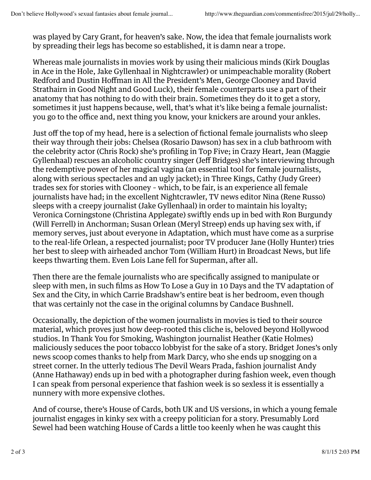was played by Cary Grant, for heaven's sake. Now, the idea that female journalists work by spreading their legs has become so established, it is damn near a trope.

Whereas male journalists in movies work by using their malicious minds (Kirk Douglas in Ace in the Hole, Jake Gyllenhaal in Nightcrawler) or unimpeachable morality (Robert Redford and Dustin Hoffman in All the President's Men, George Clooney and David Strathairn in Good Night and Good Luck), their female counterparts use a part of their anatomy that has nothing to do with their brain. Sometimes they do it to get a story, sometimes it just happens because, well, that's what it's like being a female journalist: you go to the office and, next thing you know, your knickers are around your ankles.

Just off the top of my head, here is a selection of fictional female journalists who sleep their way through their jobs: Chelsea (Rosario Dawson) has sex in a club bathroom with the celebrity actor (Chris Rock) she's profiling in Top Five; in Crazy Heart, Jean (Maggie Gyllenhaal) rescues an alcoholic country singer (Jeff Bridges) she's interviewing through the redemptive power of her magical vagina (an essential tool for female journalists, along with serious spectacles and an ugly jacket); in Three Kings, Cathy (Judy Greer) trades sex for stories with Clooney – which, to be fair, is an experience all female journalists have had; in the excellent Nightcrawler, TV news editor Nina (Rene Russo) sleeps with a creepy journalist (Jake Gyllenhaal) in order to maintain his loyalty; Veronica Corningstone (Christina Applegate) swiftly ends up in bed with Ron Burgundy (Will Ferrell) in Anchorman; Susan Orlean (Meryl Streep) ends up having sex with, if memory serves, just about everyone in Adaptation, which must have come as a surprise to the real-life Orlean, a respected journalist; poor TV producer Jane (Holly Hunter) tries her best to sleep with airheaded anchor Tom (William Hurt) in Broadcast News, but life keeps thwarting them. Even Lois Lane fell for Superman, after all.

Then there are the female journalists who are specifically assigned to manipulate or sleep with men, in such films as How To Lose a Guy in 10 Days and the TV adaptation of Sex and the City, in which Carrie Bradshaw's entire beat is her bedroom, even though that was certainly not the case in the original columns by Candace Bushnell.

Occasionally, the depiction of the women journalists in movies is tied to their source material, which proves just how deep-rooted this cliche is, beloved beyond Hollywood studios. In Thank You for Smoking, Washington journalist Heather (Katie Holmes) maliciously seduces the poor tobacco lobbyist for the sake of a story. Bridget Jones's only news scoop comes thanks to help from Mark Darcy, who she ends up snogging on a street corner. In the utterly tedious The Devil Wears Prada, fashion journalist Andy (Anne Hathaway) ends up in bed with a photographer during fashion week, even though I can speak from personal experience that fashion week is so sexless it is essentially a nunnery with more expensive clothes.

And of course, there's House of Cards, both UK and US versions, in which a young female journalist engages in kinky sex with a creepy politician for a story. Presumably Lord Sewel had been watching House of Cards a little too keenly when he was caught this